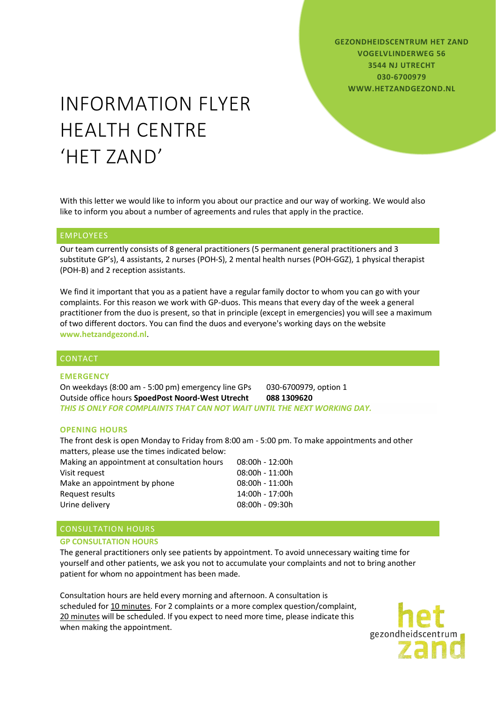**GEZONDHEIDSCENTRUM HET ZAND VOGELVLINDERWEG 56 3544 NJ UTRECHT 030-6700979 WWW.HETZANDGEZOND.NL**

# INFORMATION FLYER HEALTH CENTRE 'HET ZAND'

With this letter we would like to inform you about our practice and our way of working. We would also like to inform you about a number of agreements and rules that apply in the practice.

### EMPLOYEES

Our team currently consists of 8 general practitioners (5 permanent general practitioners and 3 substitute GP's), 4 assistants, 2 nurses (POH-S), 2 mental health nurses (POH-GGZ), 1 physical therapist (POH-B) and 2 reception assistants.

We find it important that you as a patient have a regular family doctor to whom you can go with your complaints. For this reason we work with GP-duos. This means that every day of the week a general practitioner from the duo is present, so that in principle (except in emergencies) you will see a maximum of two different doctors. You can find the duos and everyone's working days on the website **[www.hetzandgezond.nl](http://www.hetzandgezond.nl/)**.

## CONTACT

#### **EMERGENCY**

On weekdays (8:00 am - 5:00 pm) emergency line GPs 030-6700979, option 1 Outside office hours **SpoedPost Noord-West Utrecht 088 1309620** *THIS IS ONLY FOR COMPLAINTS THAT CAN NOT WAIT UNTIL THE NEXT WORKING DAY.*

#### **OPENING HOURS**

The front desk is open Monday to Friday from 8:00 am - 5:00 pm. To make appointments and other matters, please use the times indicated below:

Making an appointment at consultation hours 08:00h - 12:00h Visit request 08:00h - 11:00h Make an appointment by phone 08:00h - 11:00h Request results 14:00h - 17:00h Urine delivery 08:00h - 09:30h

## CONSULTATION HOURS

#### **GP CONSULTATION HOURS**

The general practitioners only see patients by appointment. To avoid unnecessary waiting time for yourself and other patients, we ask you not to accumulate your complaints and not to bring another patient for whom no appointment has been made.

Consultation hours are held every morning and afternoon. A consultation is scheduled for 10 minutes. For 2 complaints or a more complex question/complaint, 20 minutes will be scheduled. If you expect to need more time, please indicate this when making the appointment.

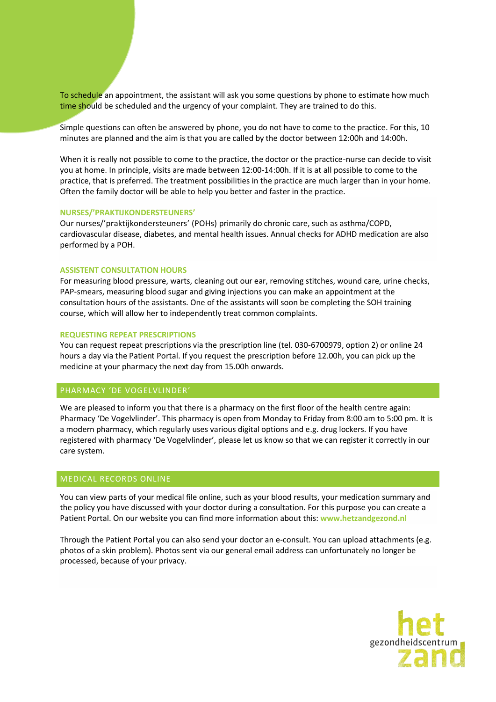To schedule an appointment, the assistant will ask you some questions by phone to estimate how much time should be scheduled and the urgency of your complaint. They are trained to do this.

Simple questions can often be answered by phone, you do not have to come to the practice. For this, 10 minutes are planned and the aim is that you are called by the doctor between 12:00h and 14:00h.

When it is really not possible to come to the practice, the doctor or the practice-nurse can decide to visit you at home. In principle, visits are made between 12:00-14:00h. If it is at all possible to come to the practice, that is preferred. The treatment possibilities in the practice are much larger than in your home. Often the family doctor will be able to help you better and faster in the practice.

#### **NURSES/'PRAKTIJKONDERSTEUNERS'**

Our nurses/'praktijkondersteuners' (POHs) primarily do chronic care, such as asthma/COPD, cardiovascular disease, diabetes, and mental health issues. Annual checks for ADHD medication are also performed by a POH.

# **ASSISTENT CONSULTATION HOURS**

For measuring blood pressure, warts, cleaning out our ear, removing stitches, wound care, urine checks, PAP-smears, measuring blood sugar and giving injections you can make an appointment at the consultation hours of the assistants. One of the assistants will soon be completing the SOH training course, which will allow her to independently treat common complaints.

#### **REQUESTING REPEAT PRESCRIPTIONS**

You can request repeat prescriptions via the prescription line (tel. 030-6700979, option 2) or online 24 hours a day via the Patient Portal. If you request the prescription before 12.00h, you can pick up the medicine at your pharmacy the next day from 15.00h onwards.

# PHARMACY 'DE VOGELVLINDER'

We are pleased to inform you that there is a pharmacy on the first floor of the health centre again: Pharmacy 'De Vogelvlinder'. This pharmacy is open from Monday to Friday from 8:00 am to 5:00 pm. It is a modern pharmacy, which regularly uses various digital options and e.g. drug lockers. If you have registered with pharmacy 'De Vogelvlinder', please let us know so that we can register it correctly in our care system.

# MEDICAL RECORDS ONLINE

You can view parts of your medical file online, such as your blood results, your medication summary and the policy you have discussed with your doctor during a consultation. For this purpose you can create a Patient Portal. On our website you can find more information about this: **[www.hetzandgezond.nl](http://www.hetzandgezond.nl/)**

Through the Patient Portal you can also send your doctor an e-consult. You can upload attachments (e.g. photos of a skin problem). Photos sent via our general email address can unfortunately no longer be processed, because of your privacy.